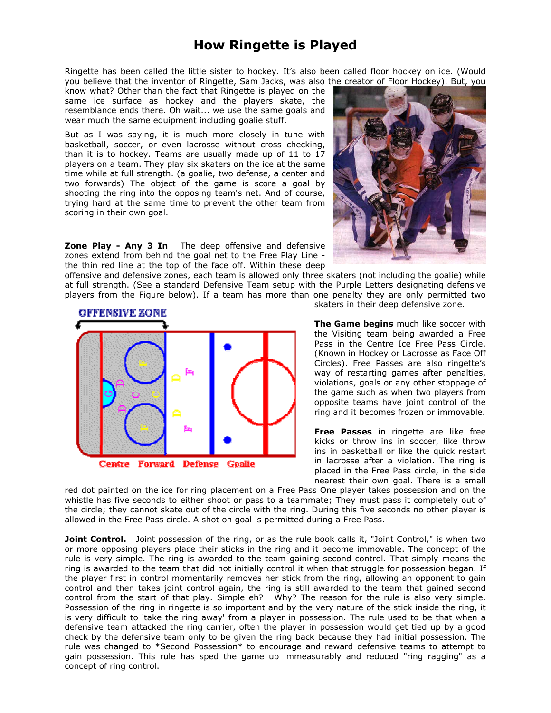## **How Ringette is Played**

Ringette has been called the little sister to hockey. It's also been called floor hockey on ice. (Would you believe that the inventor of Ringette, Sam Jacks, was also the creator of Floor Hockey). But, you

know what? Other than the fact that Ringette is played on the same ice surface as hockey and the players skate, the resemblance ends there. Oh wait... we use the same goals and wear much the same equipment including goalie stuff.

But as I was saying, it is much more closely in tune with basketball, soccer, or even lacrosse without cross checking, than it is to hockey. Teams are usually made up of 11 to 17 players on a team. They play six skaters on the ice at the same time while at full strength. (a goalie, two defense, a center and two forwards) The object of the game is score a goal by shooting the ring into the opposing team's net. And of course, trying hard at the same time to prevent the other team from scoring in their own goal.

**Zone Play - Any 3 In** The deep offensive and defensive zones extend from behind the goal net to the Free Play Line the thin red line at the top of the face off. Within these deep



offensive and defensive zones, each team is allowed only three skaters (not including the goalie) while at full strength. (See a standard Defensive Team setup with the Purple Letters designating defensive players from the Figure below). If a team has more than one penalty they are only permitted two



Centre Forward Defense Goalie

skaters in their deep defensive zone.

**The Game begins** much like soccer with the Visiting team being awarded a Free Pass in the Centre Ice Free Pass Circle. (Known in Hockey or Lacrosse as Face Off Circles). Free Passes are also ringette's way of restarting games after penalties, violations, goals or any other stoppage of the game such as when two players from opposite teams have joint control of the ring and it becomes frozen or immovable.

**Free Passes** in ringette are like free kicks or throw ins in soccer, like throw ins in basketball or like the quick restart in lacrosse after a violation. The ring is placed in the Free Pass circle, in the side nearest their own goal. There is a small

red dot painted on the ice for ring placement on a Free Pass One player takes possession and on the whistle has five seconds to either shoot or pass to a teammate; They must pass it completely out of the circle; they cannot skate out of the circle with the ring. During this five seconds no other player is allowed in the Free Pass circle. A shot on goal is permitted during a Free Pass.

**Joint Control.** Joint possession of the ring, or as the rule book calls it, "Joint Control," is when two or more opposing players place their sticks in the ring and it become immovable. The concept of the rule is very simple. The ring is awarded to the team gaining second control. That simply means the ring is awarded to the team that did not initially control it when that struggle for possession began. If the player first in control momentarily removes her stick from the ring, allowing an opponent to gain control and then takes joint control again, the ring is still awarded to the team that gained second control from the start of that play. Simple eh? Why? The reason for the rule is also very simple. Possession of the ring in ringette is so important and by the very nature of the stick inside the ring, it is very difficult to 'take the ring away' from a player in possession. The rule used to be that when a defensive team attacked the ring carrier, often the player in possession would get tied up by a good check by the defensive team only to be given the ring back because they had initial possession. The rule was changed to \*Second Possession\* to encourage and reward defensive teams to attempt to gain possession. This rule has sped the game up immeasurably and reduced "ring ragging" as a concept of ring control.